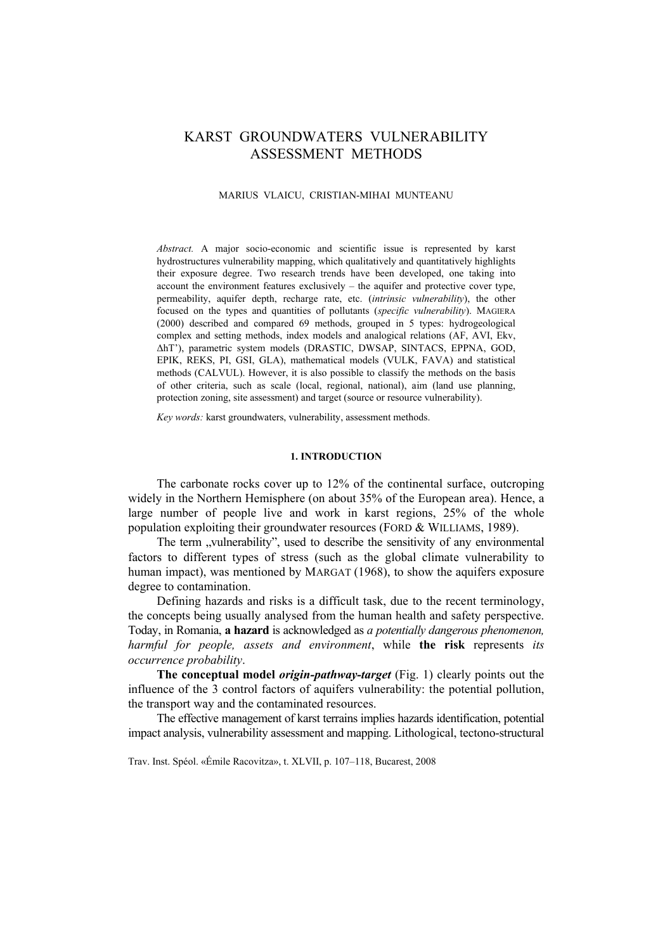# KARST GROUNDWATERS VULNERABILITY ASSESSMENT METHODS

## MARIUS VLAICU, CRISTIAN-MIHAI MUNTEANU

*Abstract.* A major socio-economic and scientific issue is represented by karst hydrostructures vulnerability mapping, which qualitatively and quantitatively highlights their exposure degree. Two research trends have been developed, one taking into account the environment features exclusively – the aquifer and protective cover type, permeability, aquifer depth, recharge rate, etc. (*intrinsic vulnerability*), the other focused on the types and quantities of pollutants (*specific vulnerability*). MAGIERA (2000) described and compared 69 methods, grouped in 5 types: hydrogeological complex and setting methods, index models and analogical relations (AF, AVI, Ekv, ∆hT'), parametric system models (DRASTIC, DWSAP, SINTACS, EPPNA, GOD, EPIK, REKS, PI, GSI, GLA), mathematical models (VULK, FAVA) and statistical methods (CALVUL). However, it is also possible to classify the methods on the basis of other criteria, such as scale (local, regional, national), aim (land use planning, protection zoning, site assessment) and target (source or resource vulnerability).

*Key words:* karst groundwaters, vulnerability, assessment methods.

#### **1. INTRODUCTION**

The carbonate rocks cover up to 12% of the continental surface, outcroping widely in the Northern Hemisphere (on about 35% of the European area). Hence, a large number of people live and work in karst regions, 25% of the whole population exploiting their groundwater resources (FORD & WILLIAMS, 1989).

The term "vulnerability", used to describe the sensitivity of any environmental factors to different types of stress (such as the global climate vulnerability to human impact), was mentioned by MARGAT (1968), to show the aquifers exposure degree to contamination.

Defining hazards and risks is a difficult task, due to the recent terminology, the concepts being usually analysed from the human health and safety perspective. Today, in Romania, **a hazard** is acknowledged as *a potentially dangerous phenomenon, harmful for people, assets and environment*, while **the risk** represents *its occurrence probability*.

**The conceptual model** *origin-pathway-target* (Fig. 1) clearly points out the influence of the 3 control factors of aquifers vulnerability: the potential pollution, the transport way and the contaminated resources.

The effective management of karst terrains implies hazards identification, potential impact analysis, vulnerability assessment and mapping. Lithological, tectono-structural

Trav. Inst. Spéol. «Émile Racovitza», t. XLVII, p. 107–118, Bucarest, 2008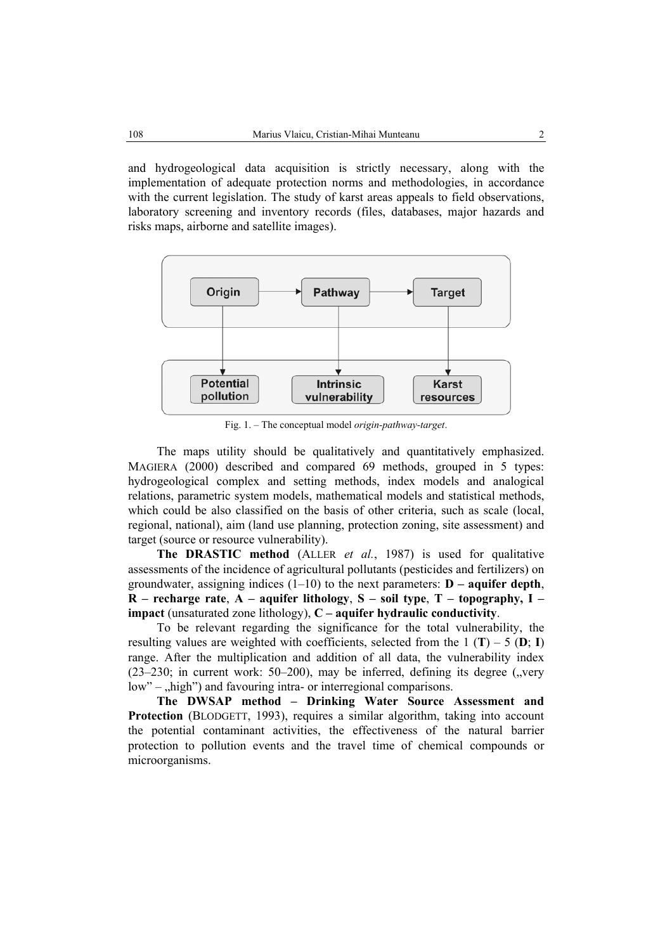and hydrogeological data acquisition is strictly necessary, along with the implementation of adequate protection norms and methodologies, in accordance with the current legislation. The study of karst areas appeals to field observations, laboratory screening and inventory records (files, databases, major hazards and risks maps, airborne and satellite images).



Fig. 1. – The conceptual model *origin-pathway-target*.

The maps utility should be qualitatively and quantitatively emphasized. MAGIERA (2000) described and compared 69 methods, grouped in 5 types: hydrogeological complex and setting methods, index models and analogical relations, parametric system models, mathematical models and statistical methods, which could be also classified on the basis of other criteria, such as scale (local, regional, national), aim (land use planning, protection zoning, site assessment) and target (source or resource vulnerability).

**The DRASTIC method** (ALLER *et al.*, 1987) is used for qualitative assessments of the incidence of agricultural pollutants (pesticides and fertilizers) on groundwater, assigning indices (1–10) to the next parameters: **D – aquifer depth**, **R – recharge rate**, **A – aquifer lithology**, **S – soil type**, **T – topography, I – impact** (unsaturated zone lithology), **C – aquifer hydraulic conductivity**.

To be relevant regarding the significance for the total vulnerability, the resulting values are weighted with coefficients, selected from the  $1 (T) - 5 (D; I)$ range. After the multiplication and addition of all data, the vulnerability index  $(23-230)$ ; in current work: 50–200), may be inferred, defining its degree ("very  $low$ " –  $\mu$ high") and favouring intra- or interregional comparisons.

**The DWSAP method – Drinking Water Source Assessment and Protection** (BLODGETT, 1993), requires a similar algorithm, taking into account the potential contaminant activities, the effectiveness of the natural barrier protection to pollution events and the travel time of chemical compounds or microorganisms.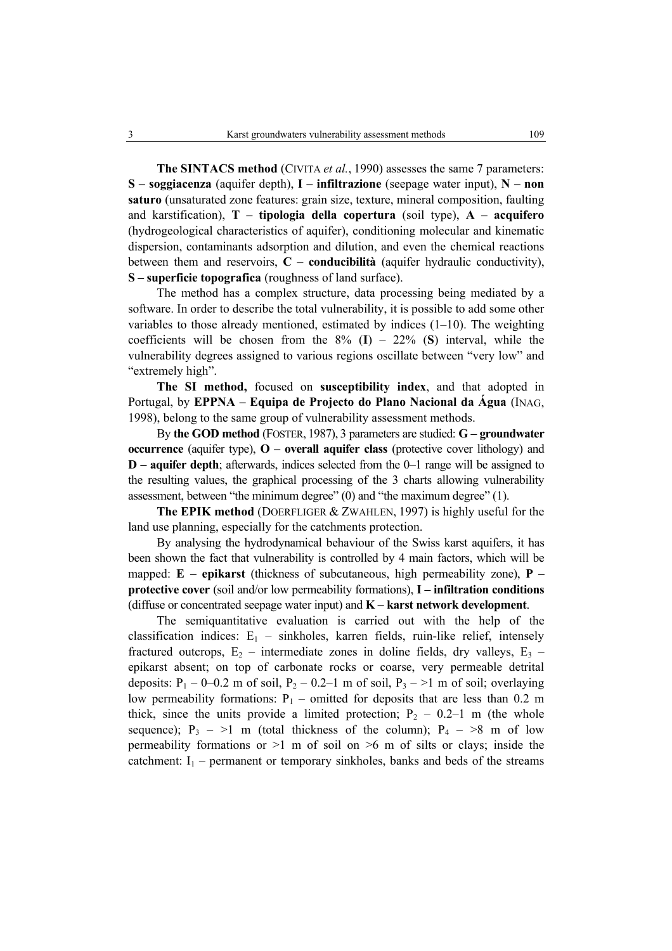**The SINTACS method** (CIVITA *et al.*, 1990) assesses the same 7 parameters: **S – soggiacenza** (aquifer depth), **I – infiltrazione** (seepage water input), **N – non saturo** (unsaturated zone features: grain size, texture, mineral composition, faulting and karstification), **T – tipologia della copertura** (soil type), **A – acquifero** (hydrogeological characteristics of aquifer), conditioning molecular and kinematic dispersion, contaminants adsorption and dilution, and even the chemical reactions between them and reservoirs, **C – conducibilità** (aquifer hydraulic conductivity), **S – superficie topografica** (roughness of land surface).

The method has a complex structure, data processing being mediated by a software. In order to describe the total vulnerability, it is possible to add some other variables to those already mentioned, estimated by indices (1–10). The weighting coefficients will be chosen from the  $8\%$  (**I**) – 22% (**S**) interval, while the vulnerability degrees assigned to various regions oscillate between "very low" and "extremely high".

**The SI method,** focused on **susceptibility index**, and that adopted in Portugal, by **EPPNA – Equipa de Projecto do Plano Nacional da Água** (INAG, 1998), belong to the same group of vulnerability assessment methods.

By **the GOD method** (FOSTER, 1987), 3 parameters are studied: **G – groundwater occurrence** (aquifer type), **O – overall aquifer class** (protective cover lithology) and **D – aquifer depth**; afterwards, indices selected from the 0–1 range will be assigned to the resulting values, the graphical processing of the 3 charts allowing vulnerability assessment, between "the minimum degree" (0) and "the maximum degree" (1).

**The EPIK method** (DOERFLIGER & ZWAHLEN, 1997) is highly useful for the land use planning, especially for the catchments protection.

By analysing the hydrodynamical behaviour of the Swiss karst aquifers, it has been shown the fact that vulnerability is controlled by 4 main factors, which will be mapped:  $E$  – epikarst (thickness of subcutaneous, high permeability zone),  $P$  – **protective cover** (soil and/or low permeability formations), **I – infiltration conditions** (diffuse or concentrated seepage water input) and **K – karst network development**.

The semiquantitative evaluation is carried out with the help of the classification indices:  $E_1$  – sinkholes, karren fields, ruin-like relief, intensely fractured outcrops,  $E_2$  – intermediate zones in doline fields, dry valleys,  $E_3$  – epikarst absent; on top of carbonate rocks or coarse, very permeable detrital deposits:  $P_1$  – 0–0.2 m of soil,  $P_2$  – 0.2–1 m of soil,  $P_3$  – >1 m of soil; overlaying low permeability formations:  $P_1$  – omitted for deposits that are less than 0.2 m thick, since the units provide a limited protection;  $P_2 - 0.2-1$  m (the whole sequence);  $P_3$  – >1 m (total thickness of the column);  $P_4$  – >8 m of low permeability formations or  $>1$  m of soil on  $>6$  m of silts or clays; inside the catchment:  $I_1$  – permanent or temporary sinkholes, banks and beds of the streams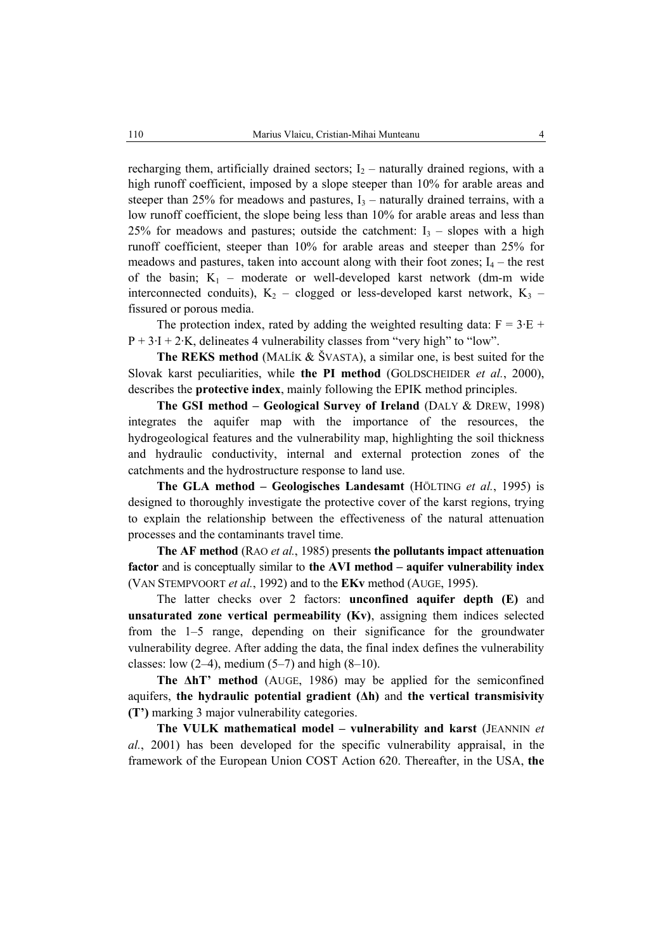recharging them, artificially drained sectors;  $I_2$  – naturally drained regions, with a high runoff coefficient, imposed by a slope steeper than 10% for arable areas and steeper than 25% for meadows and pastures,  $I_3$  – naturally drained terrains, with a low runoff coefficient, the slope being less than 10% for arable areas and less than 25% for meadows and pastures; outside the catchment:  $I_3$  – slopes with a high runoff coefficient, steeper than 10% for arable areas and steeper than 25% for meadows and pastures, taken into account along with their foot zones;  $I_4$  – the rest of the basin;  $K_1$  – moderate or well-developed karst network (dm-m wide interconnected conduits),  $K_2$  – clogged or less-developed karst network,  $K_3$  – fissured or porous media.

The protection index, rated by adding the weighted resulting data:  $F = 3 \cdot E +$  $P + 3-I + 2·K$ , delineates 4 vulnerability classes from "very high" to "low".

**The REKS method** (MALÍK & ŠVASTA), a similar one, is best suited for the Slovak karst peculiarities, while **the PI method** (GOLDSCHEIDER *et al.*, 2000), describes the **protective index**, mainly following the EPIK method principles.

**The GSI method – Geological Survey of Ireland** (DALY & DREW, 1998) integrates the aquifer map with the importance of the resources, the hydrogeological features and the vulnerability map, highlighting the soil thickness and hydraulic conductivity, internal and external protection zones of the catchments and the hydrostructure response to land use.

**The GLA method – Geologisches Landesamt** (HÖLTING *et al.*, 1995) is designed to thoroughly investigate the protective cover of the karst regions, trying to explain the relationship between the effectiveness of the natural attenuation processes and the contaminants travel time.

**The AF method** (RAO *et al.*, 1985) presents **the pollutants impact attenuation factor** and is conceptually similar to **the AVI method – aquifer vulnerability index** (VAN STEMPVOORT *et al.*, 1992) and to the **EKv** method (AUGE, 1995).

The latter checks over 2 factors: **unconfined aquifer depth (E)** and **unsaturated zone vertical permeability (Kv)**, assigning them indices selected from the 1–5 range, depending on their significance for the groundwater vulnerability degree. After adding the data, the final index defines the vulnerability classes: low  $(2-4)$ , medium  $(5-7)$  and high  $(8-10)$ .

**The ∆hT' method** (AUGE, 1986) may be applied for the semiconfined aquifers, **the hydraulic potential gradient (∆h)** and **the vertical transmisivity (T')** marking 3 major vulnerability categories.

**The VULK mathematical model – vulnerability and karst** (JEANNIN *et al.*, 2001) has been developed for the specific vulnerability appraisal, in the framework of the European Union COST Action 620. Thereafter, in the USA, **the**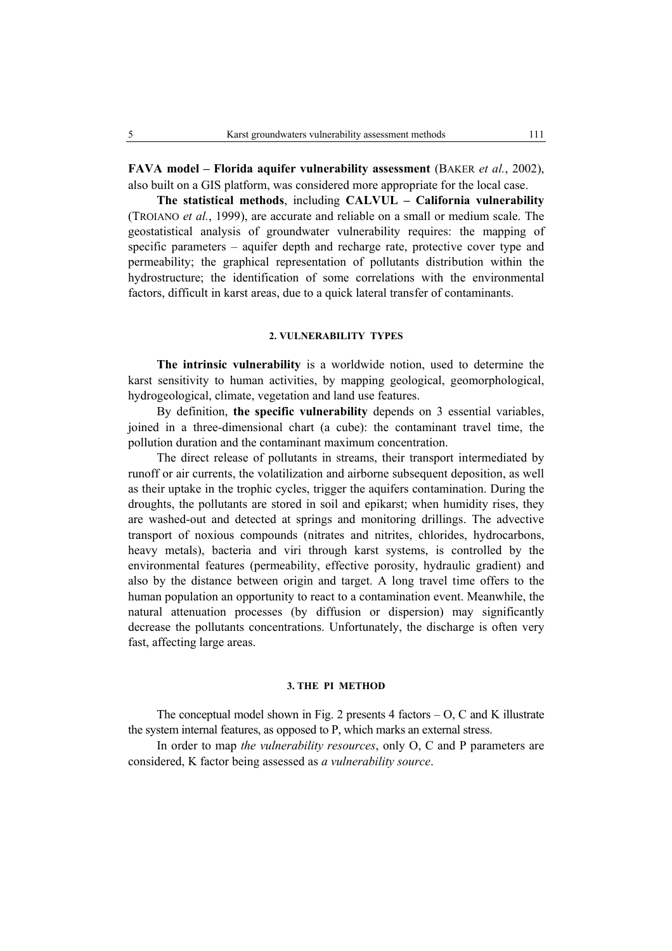**FAVA model – Florida aquifer vulnerability assessment** (BAKER *et al.*, 2002), also built on a GIS platform, was considered more appropriate for the local case.

**The statistical methods**, including **CALVUL – California vulnerability** (TROIANO *et al.*, 1999), are accurate and reliable on a small or medium scale. The geostatistical analysis of groundwater vulnerability requires: the mapping of specific parameters – aquifer depth and recharge rate, protective cover type and permeability; the graphical representation of pollutants distribution within the hydrostructure; the identification of some correlations with the environmental factors, difficult in karst areas, due to a quick lateral transfer of contaminants.

#### **2. VULNERABILITY TYPES**

**The intrinsic vulnerability** is a worldwide notion, used to determine the karst sensitivity to human activities, by mapping geological, geomorphological, hydrogeological, climate, vegetation and land use features.

By definition, **the specific vulnerability** depends on 3 essential variables, joined in a three-dimensional chart (a cube): the contaminant travel time, the pollution duration and the contaminant maximum concentration.

The direct release of pollutants in streams, their transport intermediated by runoff or air currents, the volatilization and airborne subsequent deposition, as well as their uptake in the trophic cycles, trigger the aquifers contamination. During the droughts, the pollutants are stored in soil and epikarst; when humidity rises, they are washed-out and detected at springs and monitoring drillings. The advective transport of noxious compounds (nitrates and nitrites, chlorides, hydrocarbons, heavy metals), bacteria and viri through karst systems, is controlled by the environmental features (permeability, effective porosity, hydraulic gradient) and also by the distance between origin and target. A long travel time offers to the human population an opportunity to react to a contamination event. Meanwhile, the natural attenuation processes (by diffusion or dispersion) may significantly decrease the pollutants concentrations. Unfortunately, the discharge is often very fast, affecting large areas.

## **3. THE PI METHOD**

The conceptual model shown in Fig. 2 presents  $4$  factors  $-$  O, C and K illustrate the system internal features, as opposed to P, which marks an external stress.

In order to map *the vulnerability resources*, only O, C and P parameters are considered, K factor being assessed as *a vulnerability source*.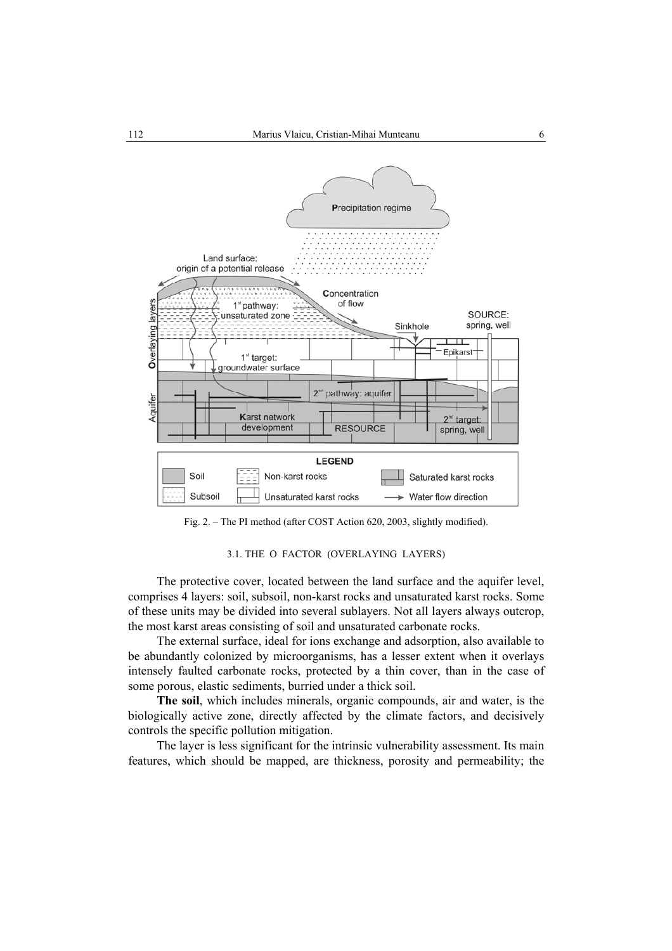

Fig. 2. – The PI method (after COST Action 620, 2003, slightly modified).

# 3.1. THE O FACTOR (OVERLAYING LAYERS)

The protective cover, located between the land surface and the aquifer level, comprises 4 layers: soil, subsoil, non-karst rocks and unsaturated karst rocks. Some of these units may be divided into several sublayers. Not all layers always outcrop, the most karst areas consisting of soil and unsaturated carbonate rocks.

The external surface, ideal for ions exchange and adsorption, also available to be abundantly colonized by microorganisms, has a lesser extent when it overlays intensely faulted carbonate rocks, protected by a thin cover, than in the case of some porous, elastic sediments, burried under a thick soil.

**The soil**, which includes minerals, organic compounds, air and water, is the biologically active zone, directly affected by the climate factors, and decisively controls the specific pollution mitigation.

The layer is less significant for the intrinsic vulnerability assessment. Its main features, which should be mapped, are thickness, porosity and permeability; the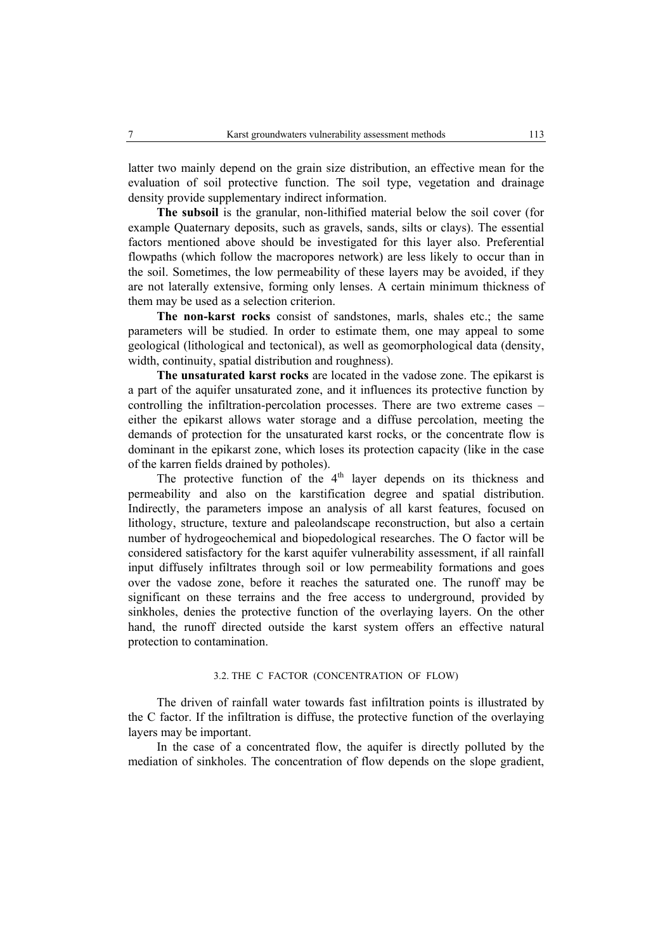latter two mainly depend on the grain size distribution, an effective mean for the evaluation of soil protective function. The soil type, vegetation and drainage density provide supplementary indirect information.

**The subsoil** is the granular, non-lithified material below the soil cover (for example Quaternary deposits, such as gravels, sands, silts or clays). The essential factors mentioned above should be investigated for this layer also. Preferential flowpaths (which follow the macropores network) are less likely to occur than in the soil. Sometimes, the low permeability of these layers may be avoided, if they are not laterally extensive, forming only lenses. A certain minimum thickness of them may be used as a selection criterion.

**The non-karst rocks** consist of sandstones, marls, shales etc.; the same parameters will be studied. In order to estimate them, one may appeal to some geological (lithological and tectonical), as well as geomorphological data (density, width, continuity, spatial distribution and roughness).

**The unsaturated karst rocks** are located in the vadose zone. The epikarst is a part of the aquifer unsaturated zone, and it influences its protective function by controlling the infiltration-percolation processes. There are two extreme cases – either the epikarst allows water storage and a diffuse percolation, meeting the demands of protection for the unsaturated karst rocks, or the concentrate flow is dominant in the epikarst zone, which loses its protection capacity (like in the case of the karren fields drained by potholes).

The protective function of the  $4<sup>th</sup>$  layer depends on its thickness and permeability and also on the karstification degree and spatial distribution. Indirectly, the parameters impose an analysis of all karst features, focused on lithology, structure, texture and paleolandscape reconstruction, but also a certain number of hydrogeochemical and biopedological researches. The O factor will be considered satisfactory for the karst aquifer vulnerability assessment, if all rainfall input diffusely infiltrates through soil or low permeability formations and goes over the vadose zone, before it reaches the saturated one. The runoff may be significant on these terrains and the free access to underground, provided by sinkholes, denies the protective function of the overlaying layers. On the other hand, the runoff directed outside the karst system offers an effective natural protection to contamination.

## 3.2. THE C FACTOR (CONCENTRATION OF FLOW)

The driven of rainfall water towards fast infiltration points is illustrated by the C factor. If the infiltration is diffuse, the protective function of the overlaying layers may be important.

In the case of a concentrated flow, the aquifer is directly polluted by the mediation of sinkholes. The concentration of flow depends on the slope gradient,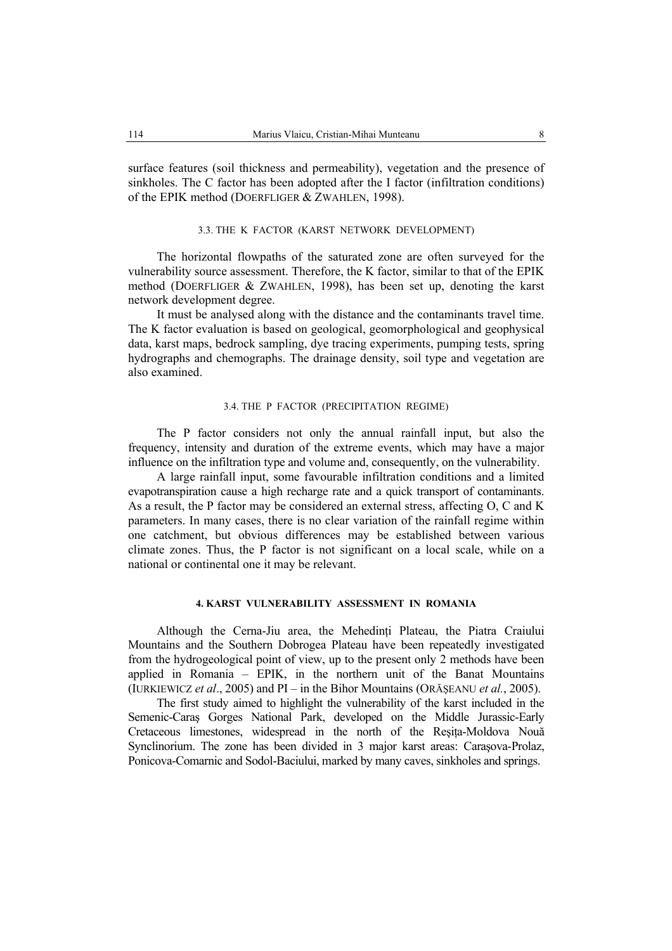surface features (soil thickness and permeability), vegetation and the presence of sinkholes. The C factor has been adopted after the I factor (infiltration conditions) of the EPIK method (DOERFLIGER & ZWAHLEN, 1998).

## 3.3. THE K FACTOR (KARST NETWORK DEVELOPMENT)

The horizontal flowpaths of the saturated zone are often surveyed for the vulnerability source assessment. Therefore, the K factor, similar to that of the EPIK method (DOERFLIGER & ZWAHLEN, 1998), has been set up, denoting the karst network development degree.

It must be analysed along with the distance and the contaminants travel time. The K factor evaluation is based on geological, geomorphological and geophysical data, karst maps, bedrock sampling, dye tracing experiments, pumping tests, spring hydrographs and chemographs. The drainage density, soil type and vegetation are also examined.

## 3.4. THE P FACTOR (PRECIPITATION REGIME)

The P factor considers not only the annual rainfall input, but also the frequency, intensity and duration of the extreme events, which may have a major influence on the infiltration type and volume and, consequently, on the vulnerability.

A large rainfall input, some favourable infiltration conditions and a limited evapotranspiration cause a high recharge rate and a quick transport of contaminants. As a result, the P factor may be considered an external stress, affecting O, C and K parameters. In many cases, there is no clear variation of the rainfall regime within one catchment, but obvious differences may be established between various climate zones. Thus, the P factor is not significant on a local scale, while on a national or continental one it may be relevant.

## **4. KARST VULNERABILITY ASSESSMENT IN ROMANIA**

Although the Cerna-Jiu area, the Mehedinti Plateau, the Piatra Craiului Mountains and the Southern Dobrogea Plateau have been repeatedly investigated from the hydrogeological point of view, up to the present only 2 methods have been applied in Romania – EPIK, in the northern unit of the Banat Mountains (IURKIEWICZ *et al*., 2005) and PI – in the Bihor Mountains (ORĂŞEANU *et al.*, 2005).

The first study aimed to highlight the vulnerability of the karst included in the Semenic-Caraş Gorges National Park, developed on the Middle Jurassic-Early Cretaceous limestones, widespread in the north of the Resita-Moldova Nouă Synclinorium. The zone has been divided in 3 major karst areas: Caraşova-Prolaz, Ponicova-Comarnic and Sodol-Baciului, marked by many caves, sinkholes and springs.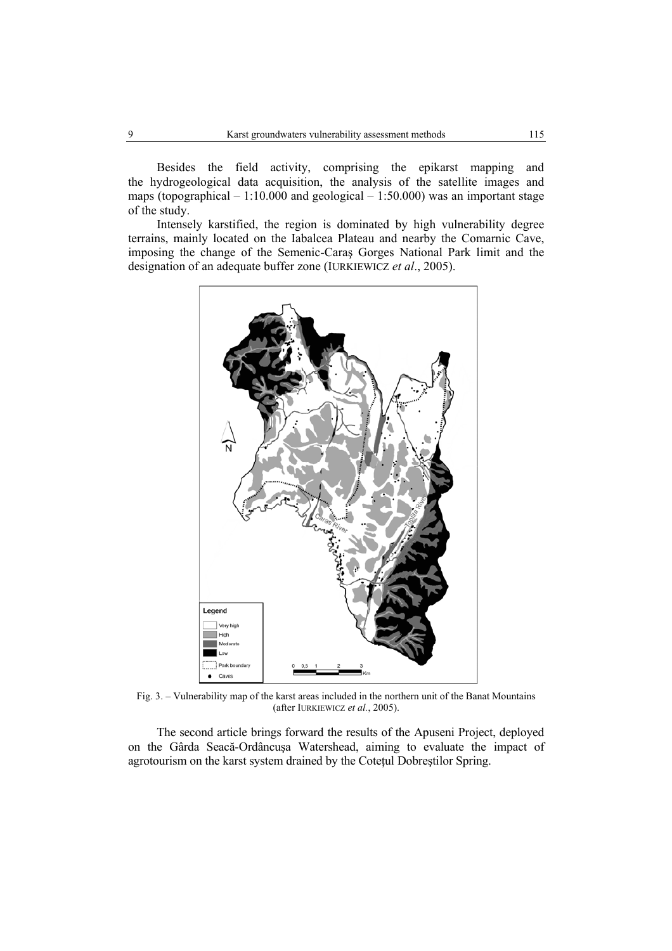Besides the field activity, comprising the epikarst mapping and the hydrogeological data acquisition, the analysis of the satellite images and maps (topographical – 1:10.000 and geological – 1:50.000) was an important stage of the study.

Intensely karstified, the region is dominated by high vulnerability degree terrains, mainly located on the Iabalcea Plateau and nearby the Comarnic Cave, imposing the change of the Semenic-Caraş Gorges National Park limit and the designation of an adequate buffer zone (IURKIEWICZ *et al*., 2005).



Fig. 3. – Vulnerability map of the karst areas included in the northern unit of the Banat Mountains (after IURKIEWICZ *et al.*, 2005).

The second article brings forward the results of the Apuseni Project, deployed on the Gârda Seacă-Ordâncuşa Watershead, aiming to evaluate the impact of agrotourism on the karst system drained by the Coteţul Dobreştilor Spring.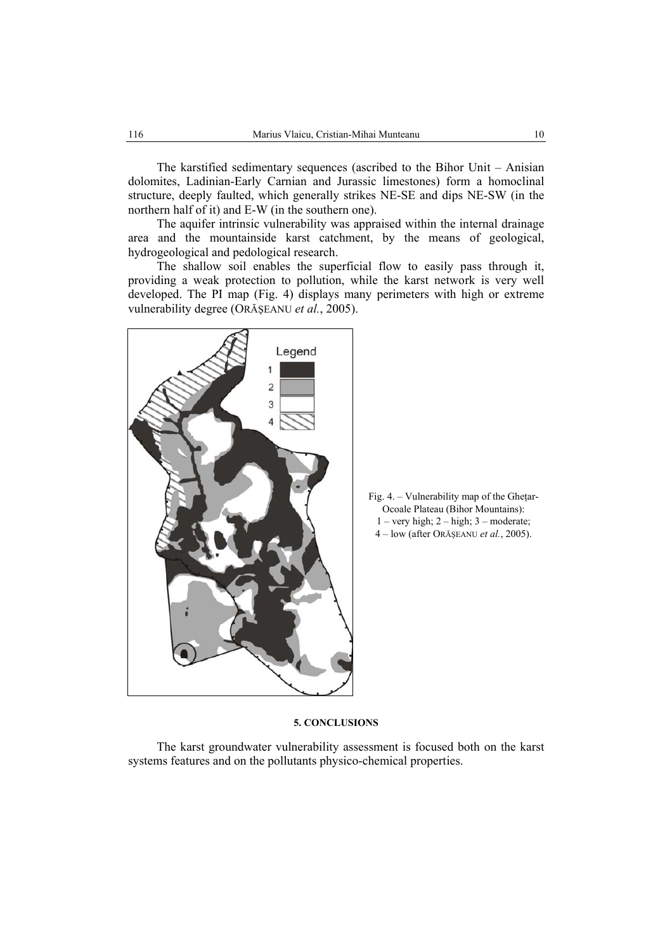The karstified sedimentary sequences (ascribed to the Bihor Unit – Anisian dolomites, Ladinian-Early Carnian and Jurassic limestones) form a homoclinal structure, deeply faulted, which generally strikes NE-SE and dips NE-SW (in the northern half of it) and E-W (in the southern one).

The aquifer intrinsic vulnerability was appraised within the internal drainage area and the mountainside karst catchment, by the means of geological, hydrogeological and pedological research.

The shallow soil enables the superficial flow to easily pass through it, providing a weak protection to pollution, while the karst network is very well developed. The PI map (Fig. 4) displays many perimeters with high or extreme vulnerability degree (ORĂŞEANU *et al.*, 2005).





#### **5. CONCLUSIONS**

The karst groundwater vulnerability assessment is focused both on the karst systems features and on the pollutants physico-chemical properties.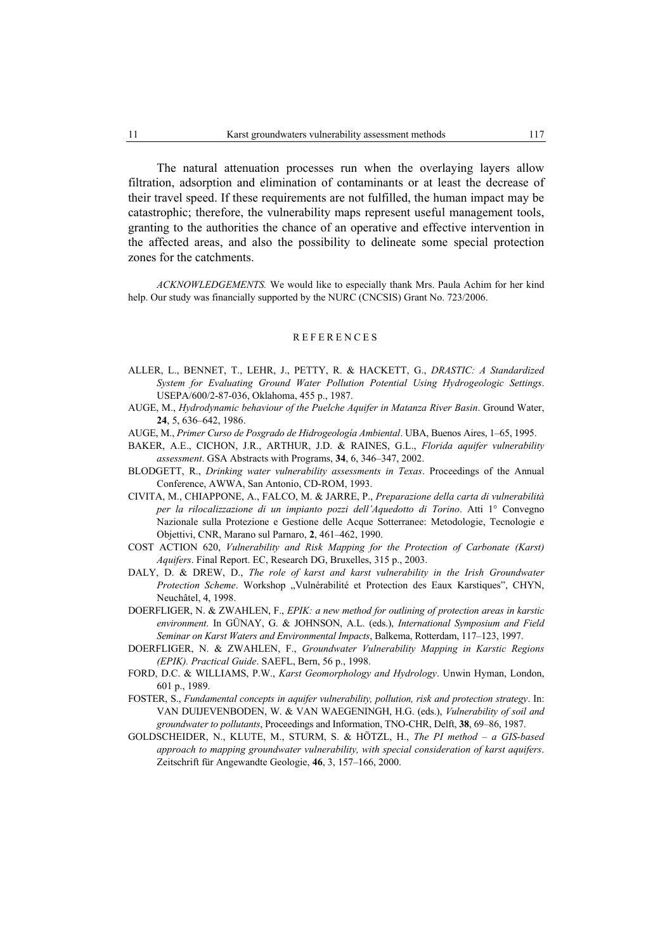The natural attenuation processes run when the overlaying layers allow filtration, adsorption and elimination of contaminants or at least the decrease of their travel speed. If these requirements are not fulfilled, the human impact may be catastrophic; therefore, the vulnerability maps represent useful management tools, granting to the authorities the chance of an operative and effective intervention in the affected areas, and also the possibility to delineate some special protection zones for the catchments.

*ACKNOWLEDGEMENTS.* We would like to especially thank Mrs. Paula Achim for her kind help. Our study was financially supported by the NURC (CNCSIS) Grant No. 723/2006.

#### REFERENCES

- ALLER, L., BENNET, T., LEHR, J., PETTY, R. & HACKETT, G., *DRASTIC: A Standardized System for Evaluating Ground Water Pollution Potential Using Hydrogeologic Settings*. USEPA/600/2-87-036, Oklahoma, 455 p., 1987.
- AUGE, M., *Hydrodynamic behaviour of the Puelche Aquifer in Matanza River Basin*. Ground Water, **24**, 5, 636–642, 1986.
- AUGE, M., *Primer Curso de Posgrado de Hidrogeología Ambiental*. UBA, Buenos Aires, 1–65, 1995.
- BAKER, A.E., CICHON, J.R., ARTHUR, J.D. & RAINES, G.L., *Florida aquifer vulnerability assessment*. GSA Abstracts with Programs, **34**, 6, 346–347, 2002.
- BLODGETT, R., *Drinking water vulnerability assessments in Texas*. Proceedings of the Annual Conference, AWWA, San Antonio, CD-ROM, 1993.
- CIVITA, M., CHIAPPONE, A., FALCO, M. & JARRE, P., *Preparazione della carta di vulnerabilità per la rilocalizzazione di un impianto pozzi dell'Aquedotto di Torino*. Atti 1° Convegno Nazionale sulla Protezione e Gestione delle Acque Sotterranee: Metodologie, Tecnologie e Objettivi, CNR, Marano sul Parnaro, **2**, 461–462, 1990.
- COST ACTION 620, *Vulnerability and Risk Mapping for the Protection of Carbonate (Karst) Aquifers*. Final Report. EC, Research DG, Bruxelles, 315 p., 2003.
- DALY, D. & DREW, D., *The role of karst and karst vulnerability in the Irish Groundwater* Protection Scheme. Workshop "Vulnérabilité et Protection des Eaux Karstiques", CHYN, Neuchâtel, 4, 1998.
- DOERFLIGER, N. & ZWAHLEN, F., *EPIK: a new method for outlining of protection areas in karstic environment*. In GÜNAY, G. & JOHNSON, A.L. (eds.), *International Symposium and Field Seminar on Karst Waters and Environmental Impacts*, Balkema, Rotterdam, 117–123, 1997.
- DOERFLIGER, N. & ZWAHLEN, F., *Groundwater Vulnerability Mapping in Karstic Regions (EPIK). Practical Guide*. SAEFL, Bern, 56 p., 1998.
- FORD, D.C. & WILLIAMS, P.W., *Karst Geomorphology and Hydrology*. Unwin Hyman, London, 601 p., 1989.
- FOSTER, S., *Fundamental concepts in aquifer vulnerability, pollution, risk and protection strategy*. In: VAN DUIJEVENBODEN, W. & VAN WAEGENINGH, H.G. (eds.), *Vulnerability of soil and groundwater to pollutants*, Proceedings and Information, TNO-CHR, Delft, **38**, 69–86, 1987.
- GOLDSCHEIDER, N., KLUTE, M., STURM, S. & HÖTZL, H., *The PI method a GIS-based approach to mapping groundwater vulnerability, with special consideration of karst aquifers*. Zeitschrift für Angewandte Geologie, **46**, 3, 157–166, 2000.